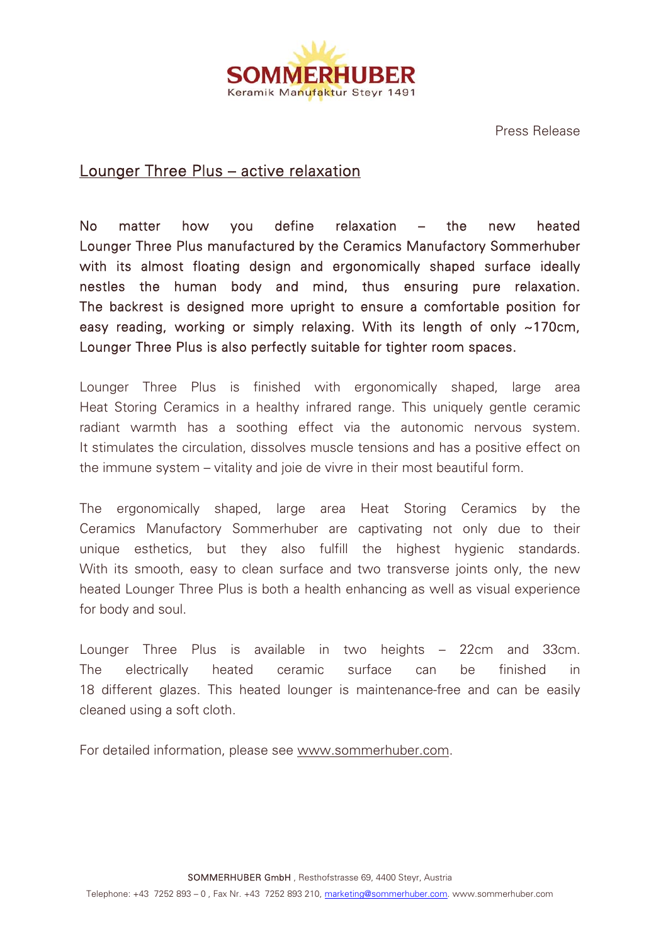

Press Release

## Lounger Three Plus – active relaxation

No matter how you define relaxation – the new heated Lounger Three Plus manufactured by the Ceramics Manufactory Sommerhuber with its almost floating design and ergonomically shaped surface ideally nestles the human body and mind, thus ensuring pure relaxation. The backrest is designed more upright to ensure a comfortable position for easy reading, working or simply relaxing. With its length of only ~170cm, Lounger Three Plus is also perfectly suitable for tighter room spaces.

Lounger Three Plus is finished with ergonomically shaped, large area Heat Storing Ceramics in a healthy infrared range. This uniquely gentle ceramic radiant warmth has a soothing effect via the autonomic nervous system. It stimulates the circulation, dissolves muscle tensions and has a positive effect on the immune system – vitality and joie de vivre in their most beautiful form.

The ergonomically shaped, large area Heat Storing Ceramics by the Ceramics Manufactory Sommerhuber are captivating not only due to their unique esthetics, but they also fulfill the highest hygienic standards. With its smooth, easy to clean surface and two transverse joints only, the new heated Lounger Three Plus is both a health enhancing as well as visual experience for body and soul.

Lounger Three Plus is available in two heights – 22cm and 33cm. The electrically heated ceramic surface can be finished in 18 different glazes. This heated lounger is maintenance-free and can be easily cleaned using a soft cloth.

For detailed information, please see www.sommerhuber.com.